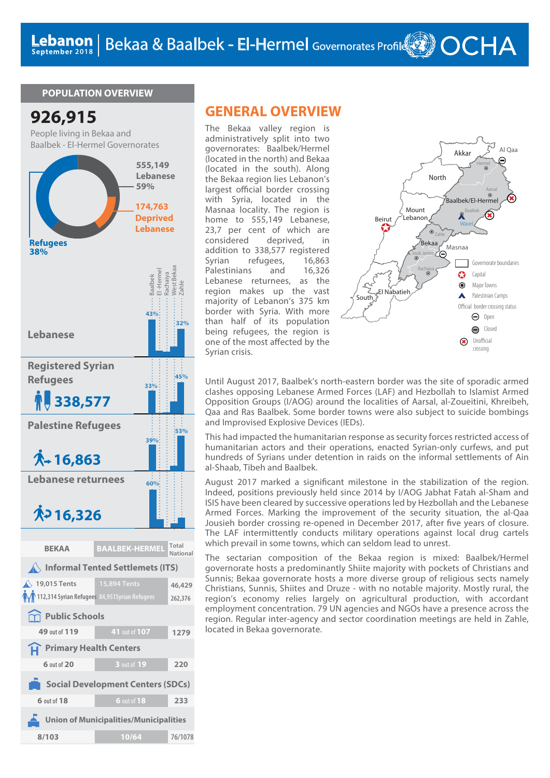#### **POPULATION OVERVIEW**



## **GENERAL OVERVIEW**

The Bekaa valley region is administratively split into two governorates: Baalbek/Hermel (located in the north) and Bekaa (located in the south). Along the Bekaa region lies Lebanon's largest official border crossing with Syria, located in the Masnaa locality. The region is home to 555,149 Lebanese, 23,7 per cent of which are considered deprived, in addition to 338,577 registered Syrian refugees, 16,863<br>Palestinians and 16.326 Palestinians and Lebanese returnees, as the region makes up the vast majority of Lebanon's 375 km border with Syria. With more than half of its population being refugees, the region is one of the most affected by the Syrian crisis.



Until August 2017, Baalbek's north-eastern border was the site of sporadic armed clashes opposing Lebanese Armed Forces (LAF) and Hezbollah to Islamist Armed Opposition Groups (I/AOG) around the localities of Aarsal, al-Zoueitini, Khreibeh, Qaa and Ras Baalbek. Some border towns were also subject to suicide bombings and Improvised Explosive Devices (IEDs).

This had impacted the humanitarian response as security forces restricted access of humanitarian actors and their operations, enacted Syrian-only curfews, and put hundreds of Syrians under detention in raids on the informal settlements of Ain al-Shaab, Tibeh and Baalbek.

August 2017 marked a significant milestone in the stabilization of the region. Indeed, positions previously held since 2014 by I/AOG Jabhat Fatah al-Sham and ISIS have been cleared by successive operations led by Hezbollah and the Lebanese Armed Forces. Marking the improvement of the security situation, the al-Qaa Jousieh border crossing re-opened in December 2017, after five years of closure. The LAF intermittently conducts military operations against local drug cartels which prevail in some towns, which can seldom lead to unrest.

The sectarian composition of the Bekaa region is mixed: Baalbek/Hermel governorate hosts a predominantly Shiite majority with pockets of Christians and Sunnis; Bekaa governorate hosts a more diverse group of religious sects namely Christians, Sunnis, Shiites and Druze - with no notable majority. Mostly rural, the region's economy relies largely on agricultural production, with accordant employment concentration. 79 UN agencies and NGOs have a presence across the region. Regular inter-agency and sector coordination meetings are held in Zahle, located in Bekaa governorate.